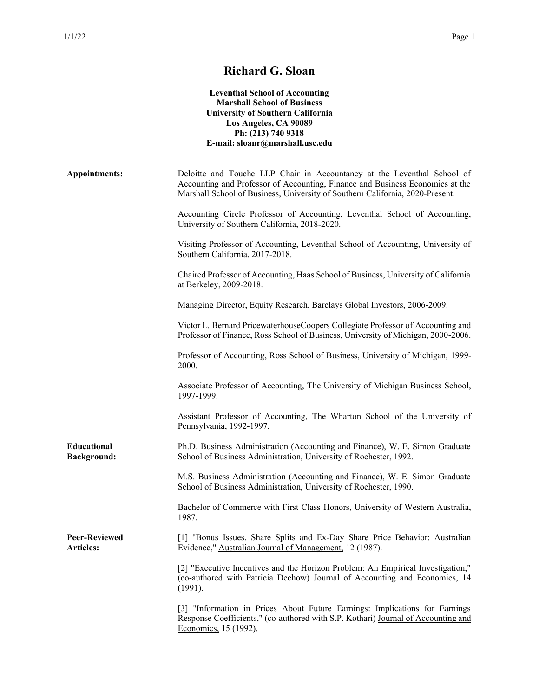## **Richard G. Sloan Leventhal School of Accounting Marshall School of Business University of Southern California Los Angeles, CA 90089 Ph: (213) 740 9318 E-mail: sloanr@marshall.usc.edu Appointments:** Deloitte and Touche LLP Chair in Accountancy at the Leventhal School of Accounting and Professor of Accounting, Finance and Business Economics at the Marshall School of Business, University of Southern California, 2020-Present. Accounting Circle Professor of Accounting, Leventhal School of Accounting, University of Southern California, 2018-2020. Visiting Professor of Accounting, Leventhal School of Accounting, University of Southern California, 2017-2018. Chaired Professor of Accounting, Haas School of Business, University of California at Berkeley, 2009-2018. Managing Director, Equity Research, Barclays Global Investors, 2006-2009. Victor L. Bernard PricewaterhouseCoopers Collegiate Professor of Accounting and Professor of Finance, Ross School of Business, University of Michigan, 2000-2006. Professor of Accounting, Ross School of Business, University of Michigan, 1999- 2000. Associate Professor of Accounting, The University of Michigan Business School, 1997-1999. Assistant Professor of Accounting, The Wharton School of the University of Pennsylvania, 1992-1997. **Educational Background:** Ph.D. Business Administration (Accounting and Finance), W. E. Simon Graduate School of Business Administration, University of Rochester, 1992. M.S. Business Administration (Accounting and Finance), W. E. Simon Graduate School of Business Administration, University of Rochester, 1990. Bachelor of Commerce with First Class Honors, University of Western Australia, 1987. **Peer-Reviewed Articles:** [1] "Bonus Issues, Share Splits and Ex-Day Share Price Behavior: Australian Evidence," Australian Journal of Management, 12 (1987). [2] "Executive Incentives and the Horizon Problem: An Empirical Investigation," (co-authored with Patricia Dechow) Journal of Accounting and Economics, 14 (1991). [3] "Information in Prices About Future Earnings: Implications for Earnings Response Coefficients," (co-authored with S.P. Kothari) Journal of Accounting and Economics, 15 (1992).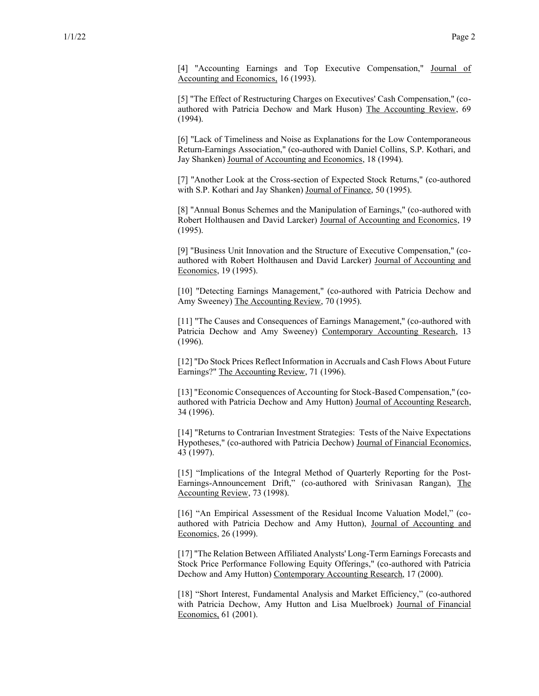[4] "Accounting Earnings and Top Executive Compensation," Journal of Accounting and Economics, 16 (1993).

[5] "The Effect of Restructuring Charges on Executives' Cash Compensation," (coauthored with Patricia Dechow and Mark Huson) The Accounting Review, 69 (1994).

[6] "Lack of Timeliness and Noise as Explanations for the Low Contemporaneous Return-Earnings Association," (co-authored with Daniel Collins, S.P. Kothari, and Jay Shanken) Journal of Accounting and Economics, 18 (1994).

[7] "Another Look at the Cross-section of Expected Stock Returns," (co-authored with S.P. Kothari and Jay Shanken) Journal of Finance, 50 (1995).

[8] "Annual Bonus Schemes and the Manipulation of Earnings," (co-authored with Robert Holthausen and David Larcker) Journal of Accounting and Economics, 19 (1995).

[9] "Business Unit Innovation and the Structure of Executive Compensation," (coauthored with Robert Holthausen and David Larcker) Journal of Accounting and Economics, 19 (1995).

[10] "Detecting Earnings Management," (co-authored with Patricia Dechow and Amy Sweeney) The Accounting Review, 70 (1995).

[11] "The Causes and Consequences of Earnings Management," (co-authored with Patricia Dechow and Amy Sweeney) Contemporary Accounting Research, 13 (1996).

[12] "Do Stock Prices Reflect Information in Accruals and Cash Flows About Future Earnings?" The Accounting Review, 71 (1996).

[13] "Economic Consequences of Accounting for Stock-Based Compensation," (coauthored with Patricia Dechow and Amy Hutton) Journal of Accounting Research, 34 (1996).

[14] "Returns to Contrarian Investment Strategies: Tests of the Naive Expectations Hypotheses," (co-authored with Patricia Dechow) Journal of Financial Economics, 43 (1997).

[15] "Implications of the Integral Method of Quarterly Reporting for the Post-Earnings-Announcement Drift," (co-authored with Srinivasan Rangan), The Accounting Review, 73 (1998).

[16] "An Empirical Assessment of the Residual Income Valuation Model," (coauthored with Patricia Dechow and Amy Hutton), Journal of Accounting and Economics, 26 (1999).

[17] "The Relation Between Affiliated Analysts' Long-Term Earnings Forecasts and Stock Price Performance Following Equity Offerings," (co-authored with Patricia Dechow and Amy Hutton) Contemporary Accounting Research, 17 (2000).

[18] "Short Interest, Fundamental Analysis and Market Efficiency," (co-authored with Patricia Dechow, Amy Hutton and Lisa Muelbroek) Journal of Financial Economics, 61 (2001).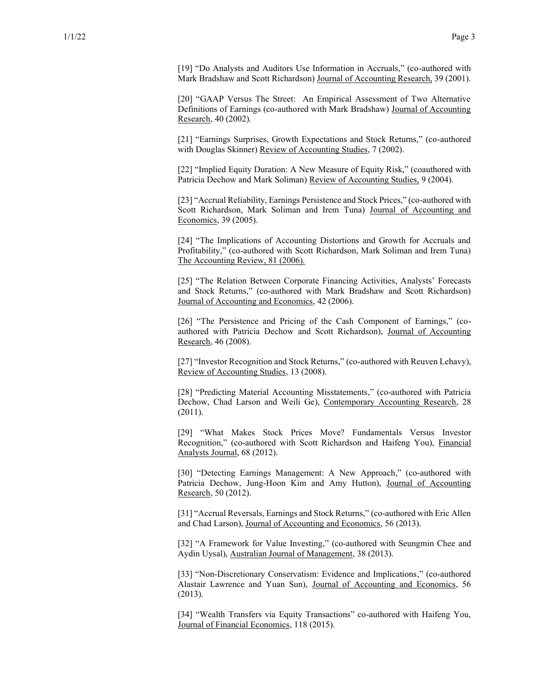[19] "Do Analysts and Auditors Use Information in Accruals," (co-authored with Mark Bradshaw and Scott Richardson) Journal of Accounting Research, 39 (2001).

[20] "GAAP Versus The Street: An Empirical Assessment of Two Alternative Definitions of Earnings (co-authored with Mark Bradshaw) Journal of Accounting Research, 40 (2002).

[21] "Earnings Surprises, Growth Expectations and Stock Returns," (co-authored with Douglas Skinner) Review of Accounting Studies, 7 (2002).

[22] "Implied Equity Duration: A New Measure of Equity Risk," (coauthored with Patricia Dechow and Mark Soliman) Review of Accounting Studies, 9 (2004).

[23] "Accrual Reliability, Earnings Persistence and Stock Prices," (co-authored with Scott Richardson, Mark Soliman and Irem Tuna) Journal of Accounting and Economics, 39 (2005).

[24] "The Implications of Accounting Distortions and Growth for Accruals and Profitability," (co-authored with Scott Richardson, Mark Soliman and Irem Tuna) The Accounting Review, 81 (2006).

[25] "The Relation Between Corporate Financing Activities, Analysts' Forecasts and Stock Returns," (co-authored with Mark Bradshaw and Scott Richardson) Journal of Accounting and Economics, 42 (2006).

[26] "The Persistence and Pricing of the Cash Component of Earnings," (coauthored with Patricia Dechow and Scott Richardson), Journal of Accounting Research, 46 (2008).

[27] "Investor Recognition and Stock Returns," (co-authored with Reuven Lehavy), Review of Accounting Studies, 13 (2008).

[28] "Predicting Material Accounting Misstatements," (co-authored with Patricia Dechow, Chad Larson and Weili Ge), Contemporary Accounting Research, 28 (2011).

[29] "What Makes Stock Prices Move? Fundamentals Versus Investor Recognition," (co-authored with Scott Richardson and Haifeng You), Financial Analysts Journal, 68 (2012).

[30] "Detecting Earnings Management: A New Approach," (co-authored with Patricia Dechow, Jung-Hoon Kim and Amy Hutton), Journal of Accounting Research, 50 (2012).

[31] "Accrual Reversals, Earnings and Stock Returns," (co-authored with Eric Allen and Chad Larson), Journal of Accounting and Economics, 56 (2013).

[32] "A Framework for Value Investing," (co-authored with Seungmin Chee and Aydin Uysal), Australian Journal of Management, 38 (2013).

[33] "Non-Discretionary Conservatism: Evidence and Implications," (co-authored Alastair Lawrence and Yuan Sun), Journal of Accounting and Economics, 56 (2013).

[34] "Wealth Transfers via Equity Transactions" co-authored with Haifeng You, Journal of Financial Economics, 118 (2015).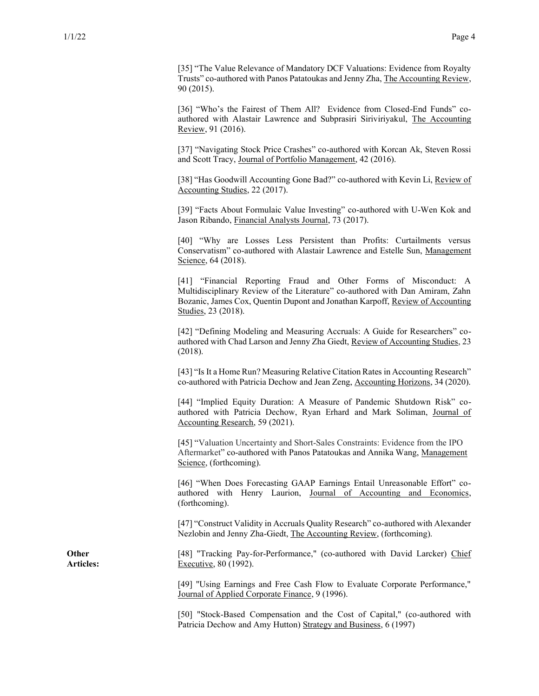[35] "The Value Relevance of Mandatory DCF Valuations: Evidence from Royalty Trusts" co-authored with Panos Patatoukas and Jenny Zha, The Accounting Review, 90 (2015).

[36] "Who's the Fairest of Them All? Evidence from Closed-End Funds" coauthored with Alastair Lawrence and Subprasiri Siriviriyakul, The Accounting Review, 91 (2016).

[37] "Navigating Stock Price Crashes" co-authored with Korcan Ak, Steven Rossi and Scott Tracy, Journal of Portfolio Management, 42 (2016).

[38] "Has Goodwill Accounting Gone Bad?" co-authored with Kevin Li, Review of Accounting Studies, 22 (2017).

[39] "Facts About Formulaic Value Investing" co-authored with U-Wen Kok and Jason Ribando, Financial Analysts Journal, 73 (2017).

[40] "Why are Losses Less Persistent than Profits: Curtailments versus Conservatism" co-authored with Alastair Lawrence and Estelle Sun, Management Science, 64 (2018).

[41] "Financial Reporting Fraud and Other Forms of Misconduct: A Multidisciplinary Review of the Literature" co-authored with Dan Amiram, Zahn Bozanic, James Cox, Quentin Dupont and Jonathan Karpoff, Review of Accounting Studies, 23 (2018).

[42] "Defining Modeling and Measuring Accruals: A Guide for Researchers" coauthored with Chad Larson and Jenny Zha Giedt, Review of Accounting Studies, 23 (2018).

[43] "Is It a Home Run? Measuring Relative Citation Rates in Accounting Research" co-authored with Patricia Dechow and Jean Zeng, Accounting Horizons, 34 (2020).

[44] "Implied Equity Duration: A Measure of Pandemic Shutdown Risk" coauthored with Patricia Dechow, Ryan Erhard and Mark Soliman, Journal of Accounting Research, 59 (2021).

[45] "Valuation Uncertainty and Short-Sales Constraints: Evidence from the IPO Aftermarket" co-authored with Panos Patatoukas and Annika Wang, Management Science, (forthcoming).

[46] "When Does Forecasting GAAP Earnings Entail Unreasonable Effort" coauthored with Henry Laurion, Journal of Accounting and Economics, (forthcoming).

[47] "Construct Validity in Accruals Quality Research" co-authored with Alexander Nezlobin and Jenny Zha-Giedt, The Accounting Review, (forthcoming).

[48] "Tracking Pay-for-Performance," (co-authored with David Larcker) Chief Executive, 80 (1992).

[49] "Using Earnings and Free Cash Flow to Evaluate Corporate Performance," Journal of Applied Corporate Finance, 9 (1996).

[50] "Stock-Based Compensation and the Cost of Capital," (co-authored with Patricia Dechow and Amy Hutton) Strategy and Business, 6 (1997)

**Other Articles:**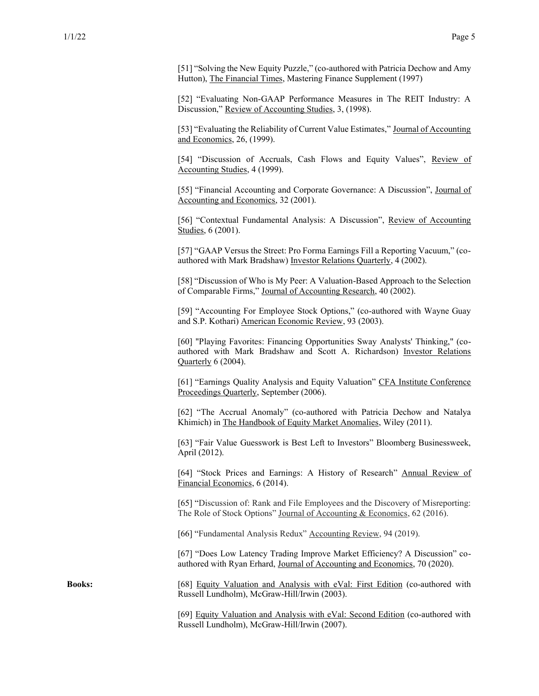[51] "Solving the New Equity Puzzle," (co-authored with Patricia Dechow and Amy Hutton), The Financial Times, Mastering Finance Supplement (1997)

[52] "Evaluating Non-GAAP Performance Measures in The REIT Industry: A Discussion," Review of Accounting Studies, 3, (1998).

[53] "Evaluating the Reliability of Current Value Estimates," Journal of Accounting and Economics, 26, (1999).

[54] "Discussion of Accruals, Cash Flows and Equity Values", Review of Accounting Studies, 4 (1999).

[55] "Financial Accounting and Corporate Governance: A Discussion", Journal of Accounting and Economics, 32 (2001).

[56] "Contextual Fundamental Analysis: A Discussion", Review of Accounting Studies, 6 (2001).

[57] "GAAP Versus the Street: Pro Forma Earnings Fill a Reporting Vacuum," (coauthored with Mark Bradshaw) Investor Relations Quarterly, 4 (2002).

[58] "Discussion of Who is My Peer: A Valuation-Based Approach to the Selection of Comparable Firms," Journal of Accounting Research, 40 (2002).

[59] "Accounting For Employee Stock Options," (co-authored with Wayne Guay and S.P. Kothari) American Economic Review, 93 (2003).

[60] "Playing Favorites: Financing Opportunities Sway Analysts' Thinking," (coauthored with Mark Bradshaw and Scott A. Richardson) Investor Relations Quarterly 6 (2004).

[61] "Earnings Quality Analysis and Equity Valuation" CFA Institute Conference Proceedings Quarterly, September (2006).

[62] "The Accrual Anomaly" (co-authored with Patricia Dechow and Natalya Khimich) in The Handbook of Equity Market Anomalies, Wiley (2011).

[63] "Fair Value Guesswork is Best Left to Investors" Bloomberg Businessweek, April (2012).

[64] "Stock Prices and Earnings: A History of Research" Annual Review of Financial Economics, 6 (2014).

[65] "Discussion of: Rank and File Employees and the Discovery of Misreporting: The Role of Stock Options" Journal of Accounting & Economics, 62 (2016).

[66] "Fundamental Analysis Redux" Accounting Review, 94 (2019).

[67] "Does Low Latency Trading Improve Market Efficiency? A Discussion" coauthored with Ryan Erhard, Journal of Accounting and Economics, 70 (2020).

**Books:** [68] Equity Valuation and Analysis with eVal: First Edition (co-authored with Russell Lundholm), McGraw-Hill/Irwin (2003).

> [69] Equity Valuation and Analysis with eVal: Second Edition (co-authored with Russell Lundholm), McGraw-Hill/Irwin (2007).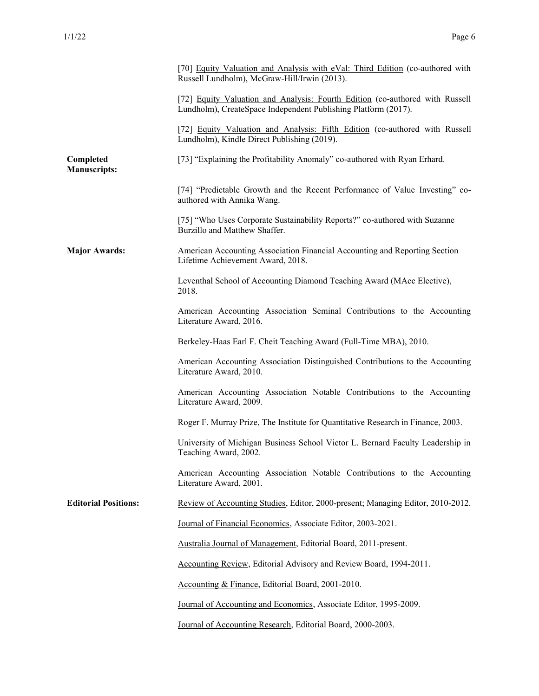|                                  | [70] Equity Valuation and Analysis with eVal: Third Edition (co-authored with<br>Russell Lundholm), McGraw-Hill/Irwin (2013).                  |
|----------------------------------|------------------------------------------------------------------------------------------------------------------------------------------------|
|                                  | [72] Equity Valuation and Analysis: Fourth Edition (co-authored with Russell<br>Lundholm), CreateSpace Independent Publishing Platform (2017). |
|                                  | [72] Equity Valuation and Analysis: Fifth Edition (co-authored with Russell<br>Lundholm), Kindle Direct Publishing (2019).                     |
| Completed<br><b>Manuscripts:</b> | [73] "Explaining the Profitability Anomaly" co-authored with Ryan Erhard.                                                                      |
|                                  | [74] "Predictable Growth and the Recent Performance of Value Investing" co-<br>authored with Annika Wang.                                      |
|                                  | [75] "Who Uses Corporate Sustainability Reports?" co-authored with Suzanne<br>Burzillo and Matthew Shaffer.                                    |
| <b>Major Awards:</b>             | American Accounting Association Financial Accounting and Reporting Section<br>Lifetime Achievement Award, 2018.                                |
|                                  | Leventhal School of Accounting Diamond Teaching Award (MAcc Elective),<br>2018.                                                                |
|                                  | American Accounting Association Seminal Contributions to the Accounting<br>Literature Award, 2016.                                             |
|                                  | Berkeley-Haas Earl F. Cheit Teaching Award (Full-Time MBA), 2010.                                                                              |
|                                  | American Accounting Association Distinguished Contributions to the Accounting<br>Literature Award, 2010.                                       |
|                                  | American Accounting Association Notable Contributions to the Accounting<br>Literature Award, 2009.                                             |
|                                  | Roger F. Murray Prize, The Institute for Quantitative Research in Finance, 2003.                                                               |
|                                  | University of Michigan Business School Victor L. Bernard Faculty Leadership in<br>Teaching Award, 2002.                                        |
|                                  | American Accounting Association Notable Contributions to the Accounting<br>Literature Award, 2001.                                             |
| <b>Editorial Positions:</b>      | Review of Accounting Studies, Editor, 2000-present; Managing Editor, 2010-2012.                                                                |
|                                  | Journal of Financial Economics, Associate Editor, 2003-2021.                                                                                   |
|                                  | Australia Journal of Management, Editorial Board, 2011-present.                                                                                |
|                                  | Accounting Review, Editorial Advisory and Review Board, 1994-2011.                                                                             |
|                                  | Accounting & Finance, Editorial Board, 2001-2010.                                                                                              |
|                                  | Journal of Accounting and Economics, Associate Editor, 1995-2009.                                                                              |
|                                  | Journal of Accounting Research, Editorial Board, 2000-2003.                                                                                    |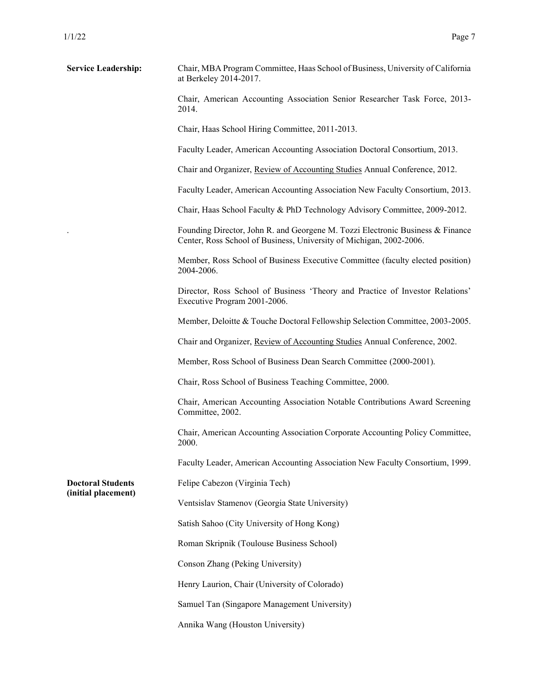| <b>Service Leadership:</b>                      | Chair, MBA Program Committee, Haas School of Business, University of California<br>at Berkeley 2014-2017.                                             |
|-------------------------------------------------|-------------------------------------------------------------------------------------------------------------------------------------------------------|
|                                                 | Chair, American Accounting Association Senior Researcher Task Force, 2013-<br>2014.                                                                   |
|                                                 | Chair, Haas School Hiring Committee, 2011-2013.                                                                                                       |
|                                                 | Faculty Leader, American Accounting Association Doctoral Consortium, 2013.                                                                            |
|                                                 | Chair and Organizer, Review of Accounting Studies Annual Conference, 2012.                                                                            |
|                                                 | Faculty Leader, American Accounting Association New Faculty Consortium, 2013.                                                                         |
|                                                 | Chair, Haas School Faculty & PhD Technology Advisory Committee, 2009-2012.                                                                            |
|                                                 | Founding Director, John R. and Georgene M. Tozzi Electronic Business & Finance<br>Center, Ross School of Business, University of Michigan, 2002-2006. |
|                                                 | Member, Ross School of Business Executive Committee (faculty elected position)<br>2004-2006.                                                          |
|                                                 | Director, Ross School of Business 'Theory and Practice of Investor Relations'<br>Executive Program 2001-2006.                                         |
|                                                 | Member, Deloitte & Touche Doctoral Fellowship Selection Committee, 2003-2005.                                                                         |
|                                                 | Chair and Organizer, Review of Accounting Studies Annual Conference, 2002.                                                                            |
|                                                 | Member, Ross School of Business Dean Search Committee (2000-2001).                                                                                    |
|                                                 | Chair, Ross School of Business Teaching Committee, 2000.                                                                                              |
|                                                 | Chair, American Accounting Association Notable Contributions Award Screening<br>Committee, 2002.                                                      |
|                                                 | Chair, American Accounting Association Corporate Accounting Policy Committee,<br>2000.                                                                |
|                                                 | Faculty Leader, American Accounting Association New Faculty Consortium, 1999.                                                                         |
| <b>Doctoral Students</b><br>(initial placement) | Felipe Cabezon (Virginia Tech)                                                                                                                        |
|                                                 | Ventsislav Stamenov (Georgia State University)                                                                                                        |
|                                                 | Satish Sahoo (City University of Hong Kong)                                                                                                           |
|                                                 | Roman Skripnik (Toulouse Business School)                                                                                                             |
|                                                 | Conson Zhang (Peking University)                                                                                                                      |
|                                                 | Henry Laurion, Chair (University of Colorado)                                                                                                         |
|                                                 | Samuel Tan (Singapore Management University)                                                                                                          |
|                                                 | Annika Wang (Houston University)                                                                                                                      |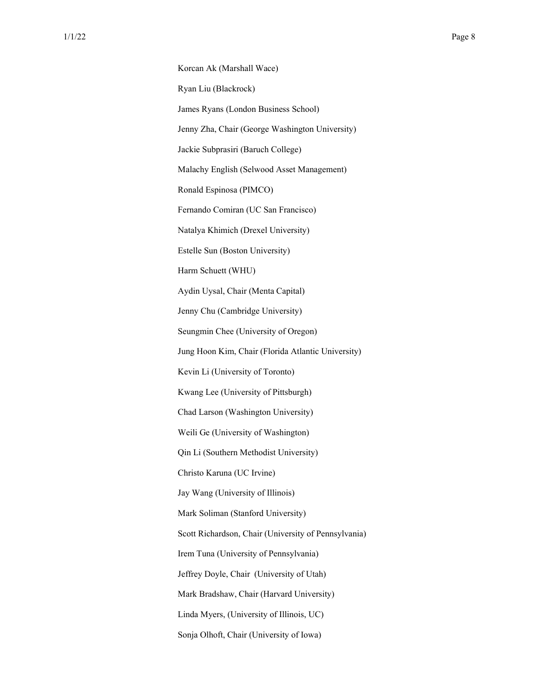Korcan Ak (Marshall Wace) Ryan Liu (Blackrock) James Ryans (London Business School) Jenny Zha, Chair (George Washington University) Jackie Subprasiri (Baruch College) Malachy English (Selwood Asset Management) Ronald Espinosa (PIMCO) Fernando Comiran (UC San Francisco) Natalya Khimich (Drexel University) Estelle Sun (Boston University) Harm Schuett (WHU) Aydin Uysal, Chair (Menta Capital) Jenny Chu (Cambridge University) Seungmin Chee (University of Oregon) Jung Hoon Kim, Chair (Florida Atlantic University) Kevin Li (University of Toronto) Kwang Lee (University of Pittsburgh) Chad Larson (Washington University) Weili Ge (University of Washington) Qin Li (Southern Methodist University) Christo Karuna (UC Irvine) Jay Wang (University of Illinois) Mark Soliman (Stanford University) Scott Richardson, Chair (University of Pennsylvania) Irem Tuna (University of Pennsylvania) Jeffrey Doyle, Chair (University of Utah) Mark Bradshaw, Chair (Harvard University) Linda Myers, (University of Illinois, UC) Sonja Olhoft, Chair (University of Iowa)